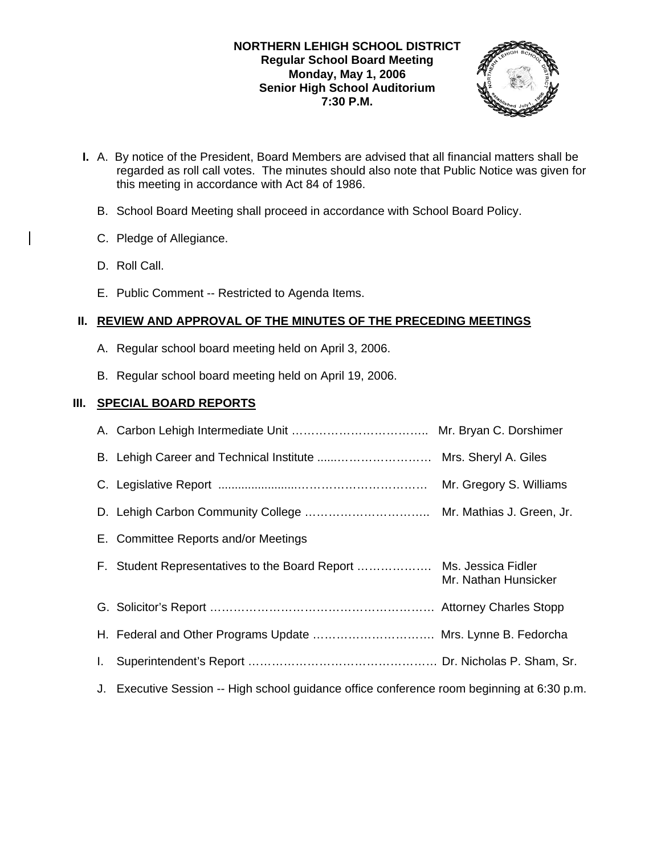### **NORTHERN LEHIGH SCHOOL DISTRICT Regular School Board Meeting Monday, May 1, 2006 Senior High School Auditorium 7:30 P.M.**



- **I.** A. By notice of the President, Board Members are advised that all financial matters shall be regarded as roll call votes. The minutes should also note that Public Notice was given for this meeting in accordance with Act 84 of 1986.
	- B. School Board Meeting shall proceed in accordance with School Board Policy.
	- C. Pledge of Allegiance.
	- D. Roll Call.
	- E. Public Comment -- Restricted to Agenda Items.

# **II. REVIEW AND APPROVAL OF THE MINUTES OF THE PRECEDING MEETINGS**

- A. Regular school board meeting held on April 3, 2006.
- B. Regular school board meeting held on April 19, 2006.

# **III. SPECIAL BOARD REPORTS**

|    | E. Committee Reports and/or Meetings                                                    |                      |
|----|-----------------------------------------------------------------------------------------|----------------------|
|    |                                                                                         | Mr. Nathan Hunsicker |
|    |                                                                                         |                      |
|    | H. Federal and Other Programs Update  Mrs. Lynne B. Fedorcha                            |                      |
|    |                                                                                         |                      |
| J. | Executive Session -- High school guidance office conference room beginning at 6:30 p.m. |                      |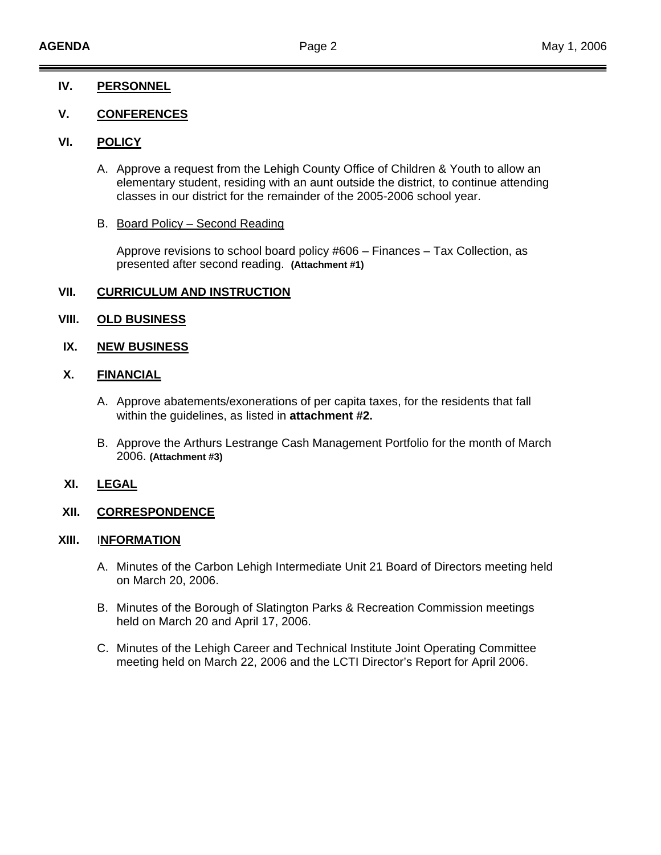### **IV. PERSONNEL**

### **V. CONFERENCES**

### **VI. POLICY**

- A. Approve a request from the Lehigh County Office of Children & Youth to allow an elementary student, residing with an aunt outside the district, to continue attending classes in our district for the remainder of the 2005-2006 school year.
- B. Board Policy Second Reading

Approve revisions to school board policy #606 – Finances – Tax Collection, as presented after second reading. **(Attachment #1)**

### **VII. CURRICULUM AND INSTRUCTION**

### **VIII. OLD BUSINESS**

### **IX. NEW BUSINESS**

# **X. FINANCIAL**

- A. Approve abatements/exonerations of per capita taxes, for the residents that fall within the guidelines, as listed in **attachment #2.**
- B. Approve the Arthurs Lestrange Cash Management Portfolio for the month of March 2006. **(Attachment #3)**

### **XI. LEGAL**

# **XII. CORRESPONDENCE**

#### **XIII.** I**NFORMATION**

- A. Minutes of the Carbon Lehigh Intermediate Unit 21 Board of Directors meeting held on March 20, 2006.
- B. Minutes of the Borough of Slatington Parks & Recreation Commission meetings held on March 20 and April 17, 2006.
- C. Minutes of the Lehigh Career and Technical Institute Joint Operating Committee meeting held on March 22, 2006 and the LCTI Director's Report for April 2006.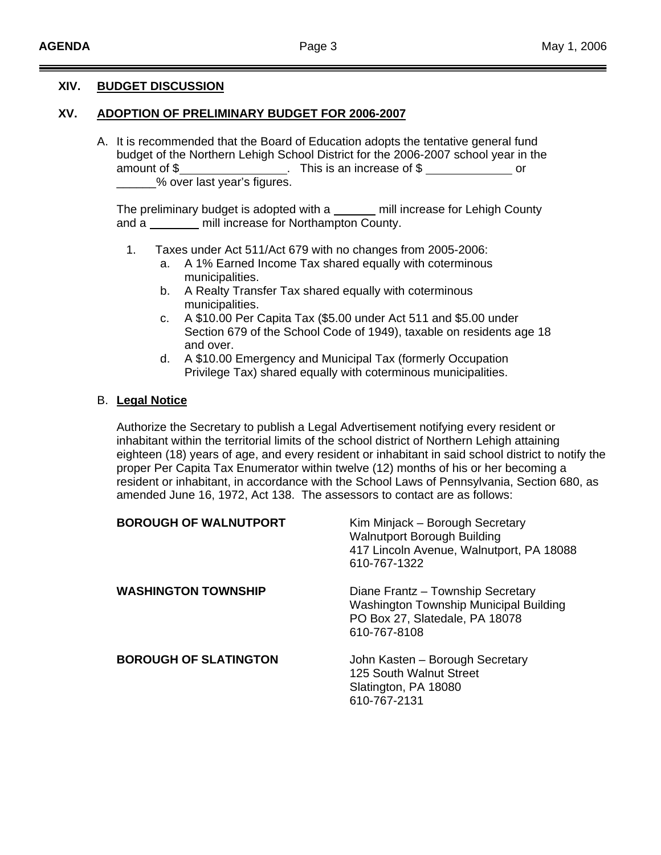### **XIV. BUDGET DISCUSSION**

### **XV. ADOPTION OF PRELIMINARY BUDGET FOR 2006-2007**

A. It is recommended that the Board of Education adopts the tentative general fund budget of the Northern Lehigh School District for the 2006-2007 school year in the amount of \$ 5 amount of \$ or \_\_\_\_\_\_% over last year's figures.

The preliminary budget is adopted with a \_\_\_\_\_ mill increase for Lehigh County and a mill increase for Northampton County.

- 1. Taxes under Act 511/Act 679 with no changes from 2005-2006:
	- a. A 1% Earned Income Tax shared equally with coterminous municipalities.
	- b. A Realty Transfer Tax shared equally with coterminous municipalities.
	- c. A \$10.00 Per Capita Tax (\$5.00 under Act 511 and \$5.00 under Section 679 of the School Code of 1949), taxable on residents age 18 and over.
	- d. A \$10.00 Emergency and Municipal Tax (formerly Occupation Privilege Tax) shared equally with coterminous municipalities.

#### B. **Legal Notice**

Authorize the Secretary to publish a Legal Advertisement notifying every resident or inhabitant within the territorial limits of the school district of Northern Lehigh attaining eighteen (18) years of age, and every resident or inhabitant in said school district to notify the proper Per Capita Tax Enumerator within twelve (12) months of his or her becoming a resident or inhabitant, in accordance with the School Laws of Pennsylvania, Section 680, as amended June 16, 1972, Act 138. The assessors to contact are as follows:

| <b>BOROUGH OF WALNUTPORT</b> | Kim Minjack – Borough Secretary<br><b>Walnutport Borough Building</b><br>417 Lincoln Avenue, Walnutport, PA 18088<br>610-767-1322 |
|------------------------------|-----------------------------------------------------------------------------------------------------------------------------------|
| <b>WASHINGTON TOWNSHIP</b>   | Diane Frantz - Township Secretary<br>Washington Township Municipal Building<br>PO Box 27, Slatedale, PA 18078<br>610-767-8108     |
| <b>BOROUGH OF SLATINGTON</b> | John Kasten - Borough Secretary<br>125 South Walnut Street<br>Slatington, PA 18080<br>610-767-2131                                |